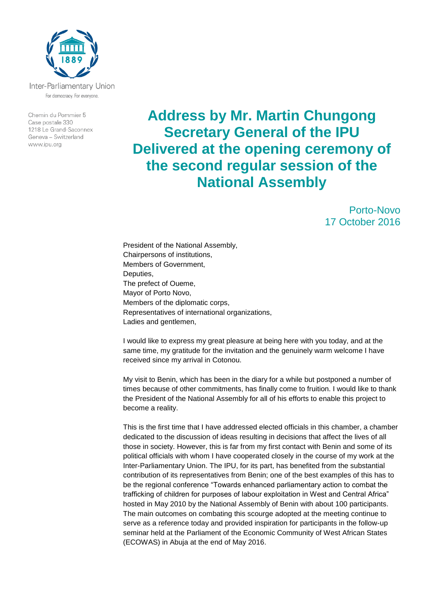

Inter-Parliamentary Union For democracy. For everyone.

Chemin du Pommier 5 Case postale 330 1218 Le Grand-Saconnex Geneva - Switzerland www.ipu.org

## **Address by Mr. Martin Chungong Secretary General of the IPU Delivered at the opening ceremony of the second regular session of the National Assembly**

Porto-Novo 17 October 2016

President of the National Assembly, Chairpersons of institutions, Members of Government, Deputies, The prefect of Oueme, Mayor of Porto Novo, Members of the diplomatic corps, Representatives of international organizations, Ladies and gentlemen,

I would like to express my great pleasure at being here with you today, and at the same time, my gratitude for the invitation and the genuinely warm welcome I have received since my arrival in Cotonou.

My visit to Benin, which has been in the diary for a while but postponed a number of times because of other commitments, has finally come to fruition. I would like to thank the President of the National Assembly for all of his efforts to enable this project to become a reality.

This is the first time that I have addressed elected officials in this chamber, a chamber dedicated to the discussion of ideas resulting in decisions that affect the lives of all those in society. However, this is far from my first contact with Benin and some of its political officials with whom I have cooperated closely in the course of my work at the Inter-Parliamentary Union. The IPU, for its part, has benefited from the substantial contribution of its representatives from Benin; one of the best examples of this has to be the regional conference "Towards enhanced parliamentary action to combat the trafficking of children for purposes of labour exploitation in West and Central Africa" hosted in May 2010 by the National Assembly of Benin with about 100 participants. The main outcomes on combating this scourge adopted at the meeting continue to serve as a reference today and provided inspiration for participants in the follow-up seminar held at the Parliament of the Economic Community of West African States (ECOWAS) in Abuja at the end of May 2016.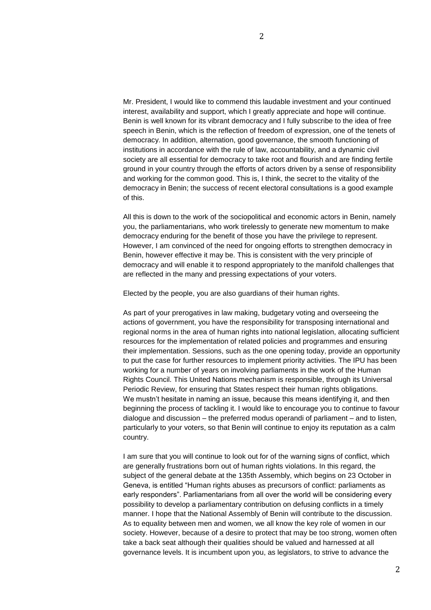Mr. President, I would like to commend this laudable investment and your continued interest, availability and support, which I greatly appreciate and hope will continue. Benin is well known for its vibrant democracy and I fully subscribe to the idea of free speech in Benin, which is the reflection of freedom of expression, one of the tenets of democracy. In addition, alternation, good governance, the smooth functioning of institutions in accordance with the rule of law, accountability, and a dynamic civil society are all essential for democracy to take root and flourish and are finding fertile ground in your country through the efforts of actors driven by a sense of responsibility and working for the common good. This is, I think, the secret to the vitality of the democracy in Benin; the success of recent electoral consultations is a good example of this.

All this is down to the work of the sociopolitical and economic actors in Benin, namely you, the parliamentarians, who work tirelessly to generate new momentum to make democracy enduring for the benefit of those you have the privilege to represent. However, I am convinced of the need for ongoing efforts to strengthen democracy in Benin, however effective it may be. This is consistent with the very principle of democracy and will enable it to respond appropriately to the manifold challenges that are reflected in the many and pressing expectations of your voters.

Elected by the people, you are also guardians of their human rights.

As part of your prerogatives in law making, budgetary voting and overseeing the actions of government, you have the responsibility for transposing international and regional norms in the area of human rights into national legislation, allocating sufficient resources for the implementation of related policies and programmes and ensuring their implementation. Sessions, such as the one opening today, provide an opportunity to put the case for further resources to implement priority activities. The IPU has been working for a number of years on involving parliaments in the work of the Human Rights Council. This United Nations mechanism is responsible, through its Universal Periodic Review, for ensuring that States respect their human rights obligations. We mustn't hesitate in naming an issue, because this means identifying it, and then beginning the process of tackling it. I would like to encourage you to continue to favour dialogue and discussion – the preferred modus operandi of parliament – and to listen, particularly to your voters, so that Benin will continue to enjoy its reputation as a calm country.

I am sure that you will continue to look out for of the warning signs of conflict, which are generally frustrations born out of human rights violations. In this regard, the subject of the general debate at the 135th Assembly, which begins on 23 October in Geneva, is entitled "Human rights abuses as precursors of conflict: parliaments as early responders". Parliamentarians from all over the world will be considering every possibility to develop a parliamentary contribution on defusing conflicts in a timely manner. I hope that the National Assembly of Benin will contribute to the discussion. As to equality between men and women, we all know the key role of women in our society. However, because of a desire to protect that may be too strong, women often take a back seat although their qualities should be valued and harnessed at all governance levels. It is incumbent upon you, as legislators, to strive to advance the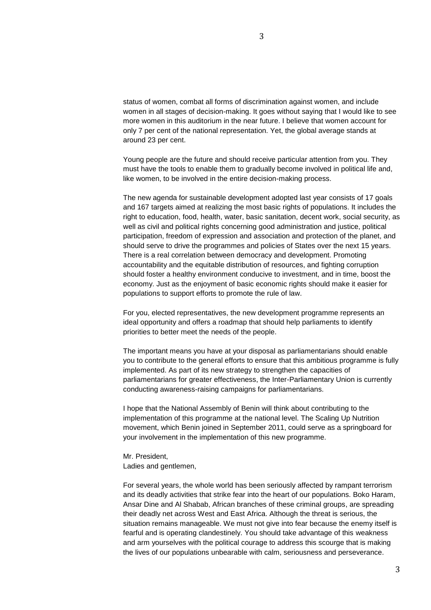status of women, combat all forms of discrimination against women, and include women in all stages of decision-making. It goes without saying that I would like to see more women in this auditorium in the near future. I believe that women account for only 7 per cent of the national representation. Yet, the global average stands at around 23 per cent.

Young people are the future and should receive particular attention from you. They must have the tools to enable them to gradually become involved in political life and, like women, to be involved in the entire decision-making process.

The new agenda for sustainable development adopted last year consists of 17 goals and 167 targets aimed at realizing the most basic rights of populations. It includes the right to education, food, health, water, basic sanitation, decent work, social security, as well as civil and political rights concerning good administration and justice, political participation, freedom of expression and association and protection of the planet, and should serve to drive the programmes and policies of States over the next 15 years. There is a real correlation between democracy and development. Promoting accountability and the equitable distribution of resources, and fighting corruption should foster a healthy environment conducive to investment, and in time, boost the economy. Just as the enjoyment of basic economic rights should make it easier for populations to support efforts to promote the rule of law.

For you, elected representatives, the new development programme represents an ideal opportunity and offers a roadmap that should help parliaments to identify priorities to better meet the needs of the people.

The important means you have at your disposal as parliamentarians should enable you to contribute to the general efforts to ensure that this ambitious programme is fully implemented. As part of its new strategy to strengthen the capacities of parliamentarians for greater effectiveness, the Inter-Parliamentary Union is currently conducting awareness-raising campaigns for parliamentarians.

I hope that the National Assembly of Benin will think about contributing to the implementation of this programme at the national level. The Scaling Up Nutrition movement, which Benin joined in September 2011, could serve as a springboard for your involvement in the implementation of this new programme.

Mr. President, Ladies and gentlemen,

For several years, the whole world has been seriously affected by rampant terrorism and its deadly activities that strike fear into the heart of our populations. Boko Haram, Ansar Dine and Al Shabab, African branches of these criminal groups, are spreading their deadly net across West and East Africa. Although the threat is serious, the situation remains manageable. We must not give into fear because the enemy itself is fearful and is operating clandestinely. You should take advantage of this weakness and arm yourselves with the political courage to address this scourge that is making the lives of our populations unbearable with calm, seriousness and perseverance.